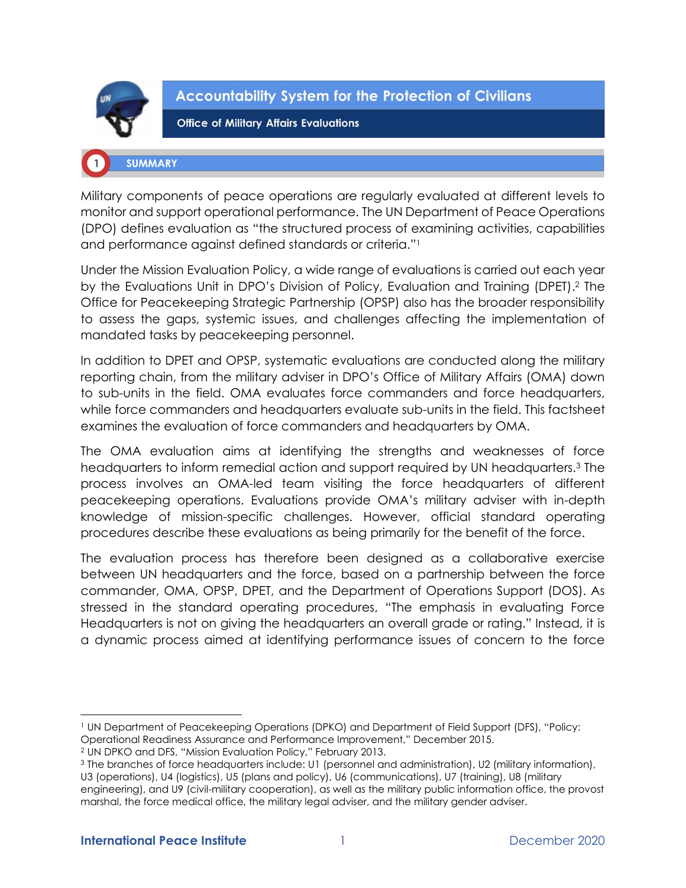

**Accountability System for the Protection of Civilians** 

**Office of Military Affairs Evaluations** 

# **SUMMARY**

Military components of peace operations are regularly evaluated at different levels to monitor and support operational performance. The UN Department of Peace Operations (DPO) defines evaluation as "the structured process of examining activities, capabilities and performance against defined standards or criteria."<sup>1</sup>

Under the Mission Evaluation Policy, a wide range of evaluations is carried out each year by the Evaluations Unit in DPO's Division of Policy, Evaluation and Training (DPET). <sup>2</sup> The Office for Peacekeeping Strategic Partnership (OPSP) also has the broader responsibility to assess the gaps, systemic issues, and challenges affecting the implementation of mandated tasks by peacekeeping personnel.

In addition to DPET and OPSP, systematic evaluations are conducted along the military reporting chain, from the military adviser in DPO's Office of Military Affairs (OMA) down to sub-units in the field. OMA evaluates force commanders and force headquarters, while force commanders and headquarters evaluate sub-units in the field. This factsheet examines the evaluation of force commanders and headquarters by OMA.

The OMA evaluation aims at identifying the strengths and weaknesses of force headquarters to inform remedial action and support required by UN headquarters.<sup>3</sup> The process involves an OMA-led team visiting the force headquarters of different peacekeeping operations. Evaluations provide OMA's military adviser with in-depth knowledge of mission-specific challenges. However, official standard operating procedures describe these evaluations as being primarily for the benefit of the force.

The evaluation process has therefore been designed as a collaborative exercise between UN headquarters and the force, based on a partnership between the force commander, OMA, OPSP, DPET, and the Department of Operations Support (DOS). As stressed in the standard operating procedures, "The emphasis in evaluating Force Headquarters is not on giving the headquarters an overall grade or rating." Instead, it is a dynamic process aimed at identifying performance issues of concern to the force

<sup>1</sup> UN Department of Peacekeeping Operations (DPKO) and Department of Field Support (DFS), "Policy: Operational Readiness Assurance and Performance Improvement," December 2015.

<sup>2</sup> UN DPKO and DFS, "Mission Evaluation Policy," February 2013.

<sup>3</sup> The branches of force headquarters include: U1 (personnel and administration), U2 (military information),

U3 (operations), U4 (logistics), U5 (plans and policy), U6 (communications), U7 (training), U8 (military engineering), and U9 (civil-military cooperation), as well as the military public information office, the provost marshal, the force medical office, the military legal adviser, and the military gender adviser.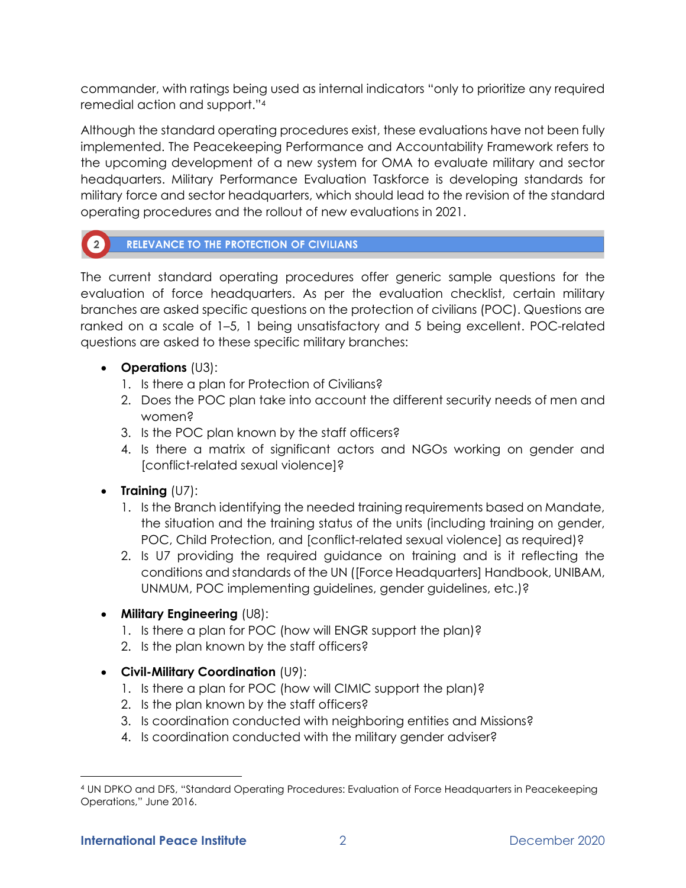commander, with ratings being used as internal indicators "only to prioritize any required remedial action and support."<sup>4</sup>

Although the standard operating procedures exist, these evaluations have not been fully implemented. The Peacekeeping Performance and Accountability Framework refers to the upcoming development of a new system for OMA to evaluate military and sector headquarters. Military Performance Evaluation Taskforce is developing standards for military force and sector headquarters, which should lead to the revision of the standard operating procedures and the rollout of new evaluations in 2021.

#### $\left( 2 \right)$ **RELEVANCE TO THE PROTECTION OF CIVILIANS**

The current standard operating procedures offer generic sample questions for the evaluation of force headquarters. As per the evaluation checklist, certain military branches are asked specific questions on the protection of civilians (POC). Questions are ranked on a scale of 1–5, 1 being unsatisfactory and 5 being excellent. POC-related questions are asked to these specific military branches:

- **Operations** (U3):
	- 1. Is there a plan for Protection of Civilians?
	- 2. Does the POC plan take into account the different security needs of men and women?
	- 3. Is the POC plan known by the staff officers?
	- 4. Is there a matrix of significant actors and NGOs working on gender and [conflict-related sexual violence]?
- **Training** (U7):
	- 1. Is the Branch identifying the needed training requirements based on Mandate, the situation and the training status of the units (including training on gender, POC, Child Protection, and [conflict-related sexual violence] as required)?
	- 2. Is U7 providing the required guidance on training and is it reflecting the conditions and standards of the UN ([Force Headquarters] Handbook, UNIBAM, UNMUM, POC implementing guidelines, gender guidelines, etc.)?
- **Military Engineering** (U8):
	- 1. Is there a plan for POC (how will ENGR support the plan)?
	- 2. Is the plan known by the staff officers?
- **Civil-Military Coordination** (U9):
	- 1. Is there a plan for POC (how will CIMIC support the plan)?
	- 2. Is the plan known by the staff officers?
	- 3. Is coordination conducted with neighboring entities and Missions?
	- 4. Is coordination conducted with the military gender adviser?

<sup>4</sup> UN DPKO and DFS, "Standard Operating Procedures: Evaluation of Force Headquarters in Peacekeeping Operations," June 2016.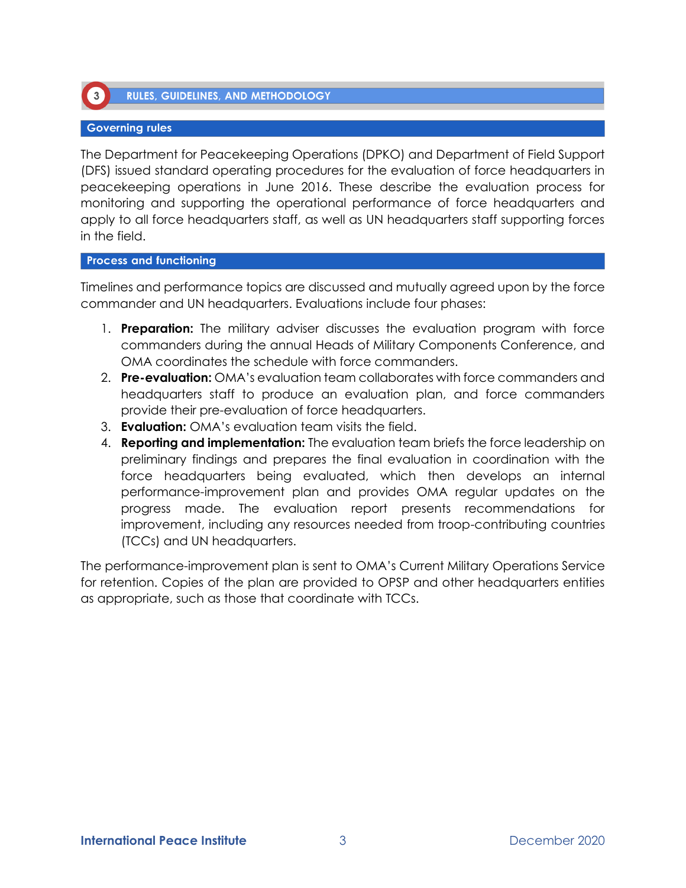

**RULES, GUIDELINES, AND METHODOLOGY** 

# **Governing rules**

The Department for Peacekeeping Operations (DPKO) and Department of Field Support (DFS) issued standard operating procedures for the evaluation of force headquarters in peacekeeping operations in June 2016. These describe the evaluation process for monitoring and supporting the operational performance of force headquarters and apply to all force headquarters staff, as well as UN headquarters staff supporting forces in the field.

### **Process and functioning**

Timelines and performance topics are discussed and mutually agreed upon by the force commander and UN headquarters. Evaluations include four phases:

- 1. **Preparation:** The military adviser discusses the evaluation program with force commanders during the annual Heads of Military Components Conference, and OMA coordinates the schedule with force commanders.
- 2. **Pre-evaluation:** OMA's evaluation team collaborates with force commanders and headquarters staff to produce an evaluation plan, and force commanders provide their pre-evaluation of force headquarters.
- 3. **Evaluation:** OMA's evaluation team visits the field.
- 4. **Reporting and implementation:** The evaluation team briefs the force leadership on preliminary findings and prepares the final evaluation in coordination with the force headquarters being evaluated, which then develops an internal performance-improvement plan and provides OMA regular updates on the progress made. The evaluation report presents recommendations for improvement, including any resources needed from troop-contributing countries (TCCs) and UN headquarters.

The performance-improvement plan is sent to OMA's Current Military Operations Service for retention. Copies of the plan are provided to OPSP and other headquarters entities as appropriate, such as those that coordinate with TCCs.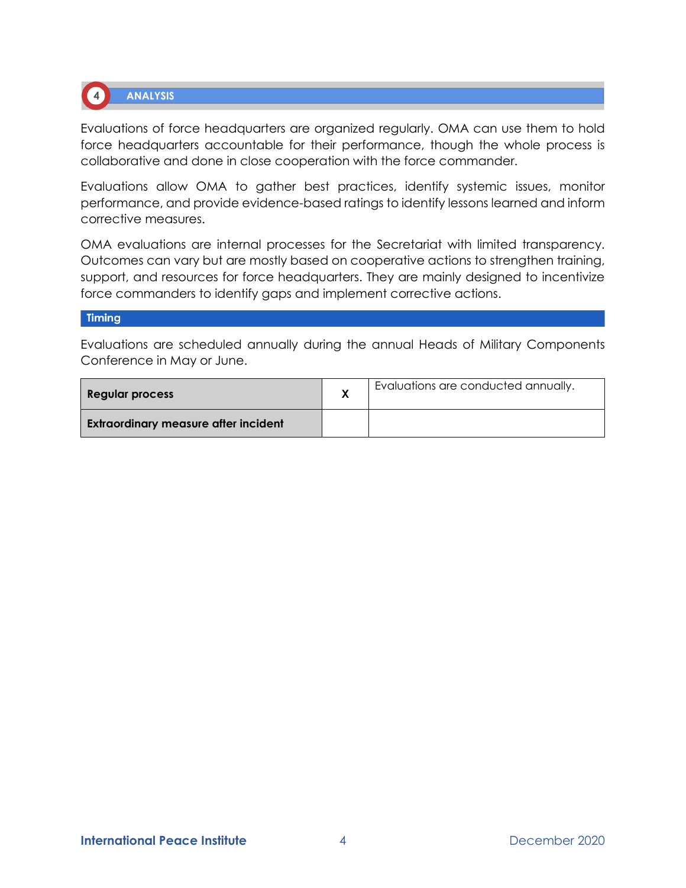

**ANALYSIS** 

Evaluations of force headquarters are organized regularly. OMA can use them to hold force headquarters accountable for their performance, though the whole process is collaborative and done in close cooperation with the force commander.

Evaluations allow OMA to gather best practices, identify systemic issues, monitor performance, and provide evidence-based ratings to identify lessons learned and inform corrective measures.

OMA evaluations are internal processes for the Secretariat with limited transparency. Outcomes can vary but are mostly based on cooperative actions to strengthen training, support, and resources for force headquarters. They are mainly designed to incentivize force commanders to identify gaps and implement corrective actions.

# **Timing**

Evaluations are scheduled annually during the annual Heads of Military Components Conference in May or June.

| Regular process                             | Evaluations are conducted annually. |
|---------------------------------------------|-------------------------------------|
| <b>Extraordinary measure after incident</b> |                                     |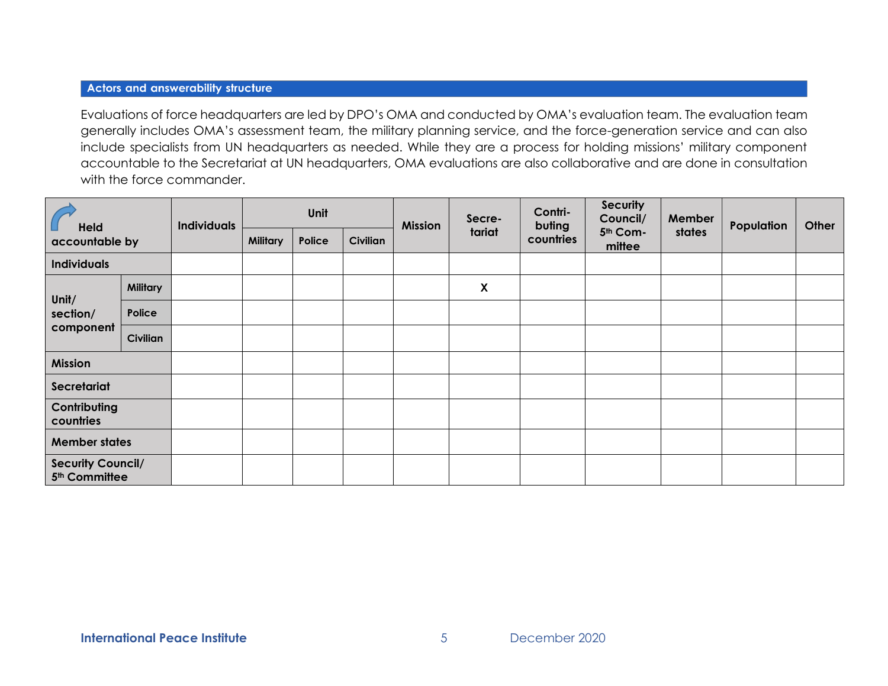# **Actors and answerability structure**

Evaluations of force headquarters are led by DPO's OMA and conducted by OMA's evaluation team. The evaluation team generally includes OMA's assessment team, the military planning service, and the force-generation service and can also include specialists from UN headquarters as needed. While they are a process for holding missions' military component accountable to the Secretariat at UN headquarters, OMA evaluations are also collaborative and are done in consultation with the force commander.

| <b>Held</b><br>accountable by                         |          | <b>Individuals</b> | Unit            |        | <b>Mission</b>  | Secre- | Contri-<br>buting         | <b>Security</b><br>Council/ | Member             | Population | Other |  |
|-------------------------------------------------------|----------|--------------------|-----------------|--------|-----------------|--------|---------------------------|-----------------------------|--------------------|------------|-------|--|
|                                                       |          |                    | <b>Military</b> | Police | <b>Civilian</b> |        | tariat                    | countries                   | 5th Com-<br>mittee | states     |       |  |
| <b>Individuals</b>                                    |          |                    |                 |        |                 |        |                           |                             |                    |            |       |  |
| Unit/                                                 | Military |                    |                 |        |                 |        | $\boldsymbol{\mathsf{X}}$ |                             |                    |            |       |  |
| section/                                              | Police   |                    |                 |        |                 |        |                           |                             |                    |            |       |  |
| component                                             | Civilian |                    |                 |        |                 |        |                           |                             |                    |            |       |  |
| <b>Mission</b>                                        |          |                    |                 |        |                 |        |                           |                             |                    |            |       |  |
| Secretariat                                           |          |                    |                 |        |                 |        |                           |                             |                    |            |       |  |
| Contributing<br>countries                             |          |                    |                 |        |                 |        |                           |                             |                    |            |       |  |
| <b>Member states</b>                                  |          |                    |                 |        |                 |        |                           |                             |                    |            |       |  |
| <b>Security Council/</b><br>5 <sup>th</sup> Committee |          |                    |                 |        |                 |        |                           |                             |                    |            |       |  |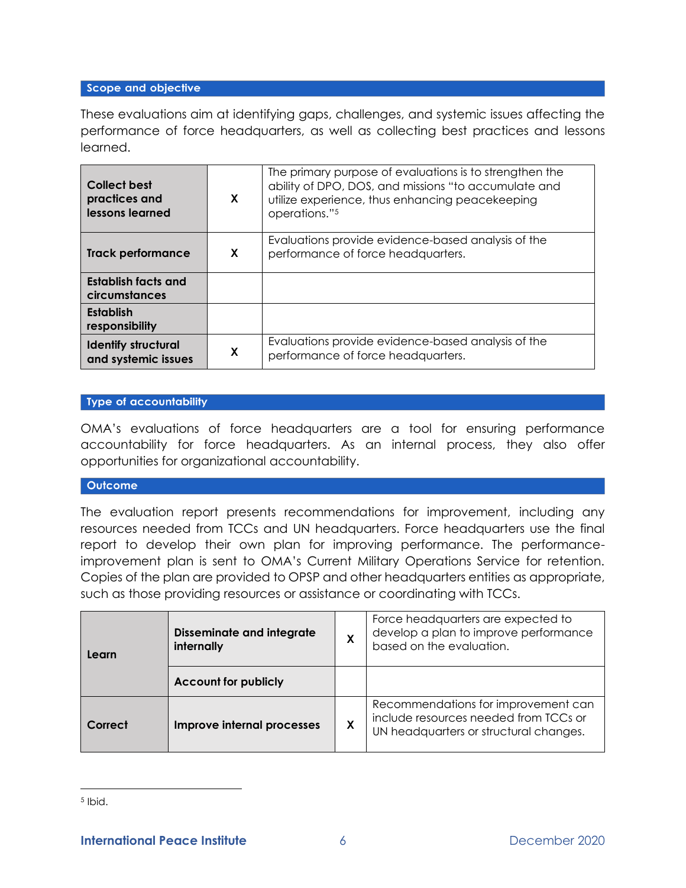## Scope and objective

These evaluations aim at identifying gaps, challenges, and systemic issues affecting the performance of force headquarters, as well as collecting best practices and lessons learned.

| <b>Collect best</b><br>practices and<br>lessons learned | X | The primary purpose of evaluations is to strengthen the<br>ability of DPO, DOS, and missions "to accumulate and<br>utilize experience, thus enhancing peacekeeping<br>operations."5 |
|---------------------------------------------------------|---|-------------------------------------------------------------------------------------------------------------------------------------------------------------------------------------|
| <b>Track performance</b>                                | X | Evaluations provide evidence-based analysis of the<br>performance of force headquarters.                                                                                            |
| <b>Establish facts and</b><br>circumstances             |   |                                                                                                                                                                                     |
| <b>Establish</b><br>responsibility                      |   |                                                                                                                                                                                     |
| <b>Identify structural</b><br>and systemic issues       | X | Evaluations provide evidence-based analysis of the<br>performance of force headquarters.                                                                                            |

# **Type of accountability**

OMA's evaluations of force headquarters are a tool for ensuring performance accountability for force headquarters. As an internal process, they also offer opportunities for organizational accountability.

### **Outcome**

The evaluation report presents recommendations for improvement, including any resources needed from TCCs and UN headquarters. Force headquarters use the final report to develop their own plan for improving performance. The performanceimprovement plan is sent to OMA's Current Military Operations Service for retention. Copies of the plan are provided to OPSP and other headquarters entities as appropriate, such as those providing resources or assistance or coordinating with TCCs.

| Learn   | <b>Disseminate and integrate</b><br>internally |   | Force headquarters are expected to<br>develop a plan to improve performance<br>based on the evaluation.                |
|---------|------------------------------------------------|---|------------------------------------------------------------------------------------------------------------------------|
|         | <b>Account for publicly</b>                    |   |                                                                                                                        |
| Correct | Improve internal processes                     | X | Recommendations for improvement can<br>include resources needed from TCCs or<br>UN headquarters or structural changes. |

<sup>5</sup> Ibid.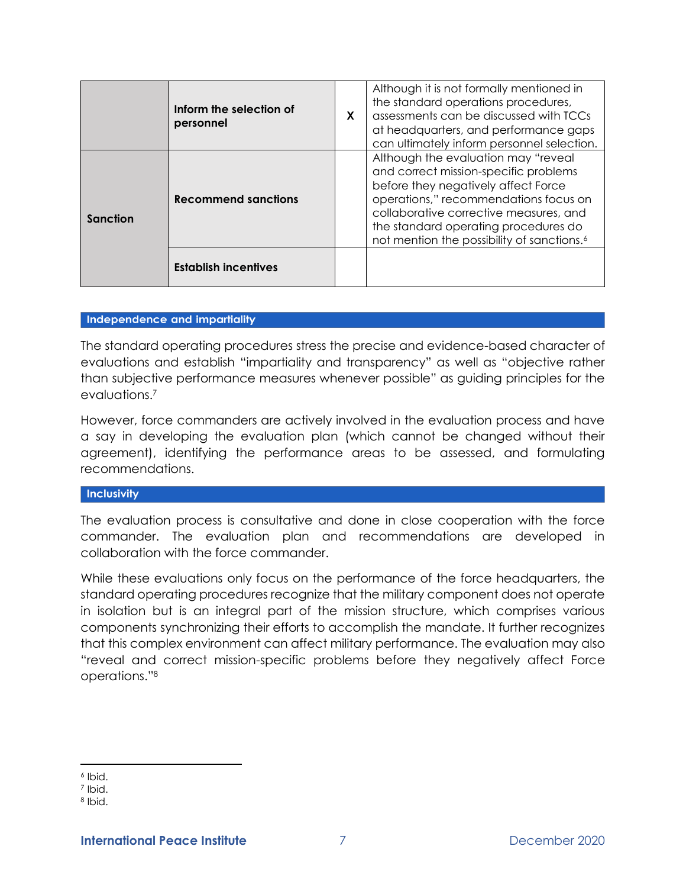|                                                                       | Inform the selection of<br>personnel | X                                                                                                                                                                                                                                                                                                        | Although it is not formally mentioned in<br>the standard operations procedures,<br>assessments can be discussed with TCCs<br>at headquarters, and performance gaps<br>can ultimately inform personnel selection. |
|-----------------------------------------------------------------------|--------------------------------------|----------------------------------------------------------------------------------------------------------------------------------------------------------------------------------------------------------------------------------------------------------------------------------------------------------|------------------------------------------------------------------------------------------------------------------------------------------------------------------------------------------------------------------|
| <b>Recommend sanctions</b><br>Sanction<br><b>Establish incentives</b> |                                      | Although the evaluation may "reveal<br>and correct mission-specific problems<br>before they negatively affect Force<br>operations," recommendations focus on<br>collaborative corrective measures, and<br>the standard operating procedures do<br>not mention the possibility of sanctions. <sup>6</sup> |                                                                                                                                                                                                                  |
|                                                                       |                                      |                                                                                                                                                                                                                                                                                                          |                                                                                                                                                                                                                  |

### Independence and impartiality

The standard operating procedures stress the precise and evidence-based character of evaluations and establish "impartiality and transparency" as well as "objective rather than subjective performance measures whenever possible" as guiding principles for the evaluations.<sup>7</sup>

However, force commanders are actively involved in the evaluation process and have a say in developing the evaluation plan (which cannot be changed without their agreement), identifying the performance areas to be assessed, and formulating recommendations.

#### **Inclusivity**

The evaluation process is consultative and done in close cooperation with the force commander. The evaluation plan and recommendations are developed in collaboration with the force commander.

While these evaluations only focus on the performance of the force headquarters, the standard operating procedures recognize that the military component does not operate in isolation but is an integral part of the mission structure, which comprises various components synchronizing their efforts to accomplish the mandate. It further recognizes that this complex environment can affect military performance. The evaluation may also "reveal and correct mission-specific problems before they negatively affect Force operations."<sup>8</sup>

<sup>6</sup> Ibid.

<sup>7</sup> Ibid.

<sup>8</sup> Ibid.